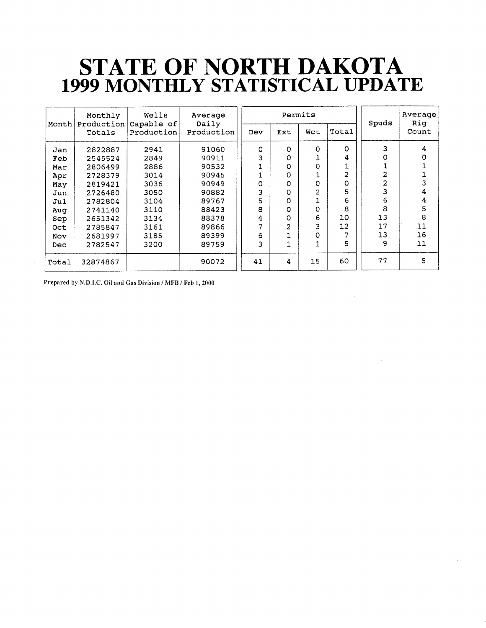### STATE OF NORTH DAKOTA<br>1999 MONTHLY STATISTICAL UPDATE

| Month | Monthly              | Wells<br>Capable of | Average<br>Daily |          |                | Permits                 |                | Spuds | Average<br>Rig |
|-------|----------------------|---------------------|------------------|----------|----------------|-------------------------|----------------|-------|----------------|
|       | Production<br>Totals | Production          | Production       | Dev      | Ext            | Wct                     | Total          |       | Count          |
| Jan   | 2822887              | 2941                | 91060            | $\Omega$ | O              | O                       | O              | 3     | 4              |
| Feb   | 2545524              | 2849                | 90911            | 3        | 0              |                         | 4              | 0     | O              |
| Mar   | 2806499              | 2886                | 90532            |          | 0              | 0                       |                |       | 1              |
| Apr   | 2728379              | 3014                | 90945            |          | 0              |                         | $\overline{2}$ | 2     |                |
| May   | 2819421              | 3036                | 90949            | Ω        | 0              | O                       | 0              | 2     | 3              |
| Jun   | 2726480              | 3050                | 90882            | 3        | 0              | $\overline{\mathbf{c}}$ | 5              | 3     | 4              |
| Jul   | 2782804              | 3104                | 89767            | 5        | 0              |                         | 6              | 6     | 4              |
| Aug   | 2741140              | 3110                | 88423            | 8        | 0              | 0                       | 8              | 8     | 5              |
| Sep   | 2651342              | 3134                | 88378            | 4        | 0              | 6                       | 10             | 13    | 8              |
| Oct   | 2785847              | 3161                | 89866            |          | $\overline{2}$ | 3                       | 12             | 17    | 11             |
| Nov   | 2681997              | 3185                | 89399            | 6        |                | 0                       |                | 13    | 16             |
| Dec   | 2782547              | 3200                | 89759            | 3        | $\mathbf{1}$   |                         | 5              | 9     | 11             |
| Total | 32874867             |                     | 90072            | 41       | 4              | 15                      | 60             | 77    | 5              |

Prepared by N.D.I.C. Oil and Gas Division / MFB / Feb 1, 2000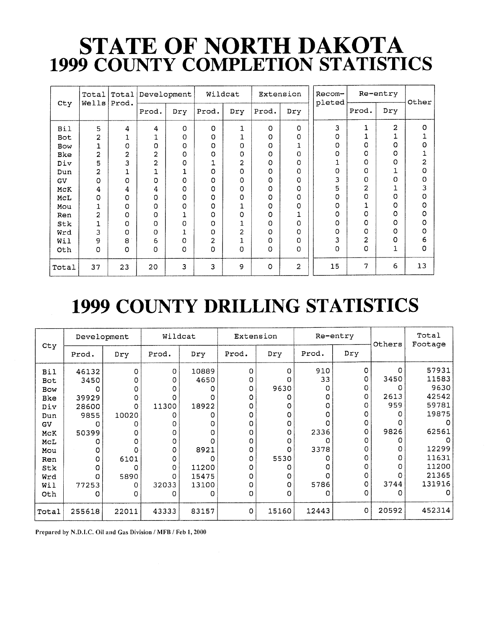## STATE OF NORTH DAKOTA<br>1999 COUNTY COMPLETION STATISTICS

|            | Total          | Total          | Development |     |          | Wildcat        |         | Extension               | Recom-<br>pleted |                | Re-entry | Other   |
|------------|----------------|----------------|-------------|-----|----------|----------------|---------|-------------------------|------------------|----------------|----------|---------|
| Cty        | Wells          | Prod.          | Prod.       | Dry | Prod.    | Dry            | Prod.   | Dry                     |                  | Prod.          | Dry      |         |
| <b>Bil</b> | 5              | 4              | 4           | 0   | O        | $\mathbf{1}$   | $\circ$ | 0                       | 3                | 1              | 2        | $\circ$ |
| Bot        | $\overline{2}$ | ⊥              | 1           | 0   | O        |                | 0       | 0                       | 0                | 1              | ┷        |         |
| Bow        |                | 0              | 0           | o   | ٥        | 0              | 0       | 1                       | Ω                | 0              | 0        | 0       |
| Bke        | $\overline{2}$ | $\overline{2}$ | 2           | 0   | O        | ٥              | O       | 0                       | O                | O              | 0        |         |
| Div        | 5              | 3              | 2           | 0   |          | $\overline{a}$ | 0       | 0                       |                  | $\Omega$       | o        | 2       |
| Dun        | 2              | 1              | 1           | 1   | 0        | O              | 0       | 0                       | 0                | $\Omega$       |          | 0       |
| GV         | $\Omega$       | O              | 0           | 0   | $\Omega$ | 0              | O       | 0                       | 3                | $\Omega$       | 0        | 0       |
| MCK        | 4              | 4              | 4           | 0   | 0        | 0              | 0       | 0                       | 5                | $\overline{2}$ |          | 3       |
| MCL        | $\Omega$       | O              | 0           | 0   | 0        | 0              | 0       | 0                       | 0                | $\Omega$       | 0        | 0       |
| Mou        | 1              | 0              | 0           | 0   | 0        |                | 0       | 0                       | Ω                | 1              | 0        | 0       |
| Ren        | $\overline{2}$ | 0              | 0           |     | O        | 0              | 0       | 1                       | 0                | $\Omega$       | ٥        | 0       |
| Stk        | 1              | 0              | 0           | 0   | 0        |                | 0       | 0                       | O                | $\Omega$       | 0        | 0       |
| Wrd        | 3              | 0              | 0           | 1   | O        | $\overline{a}$ | 0       | O                       | Ω                | $\Omega$       | 0        | 0       |
| Wil        | 9              | 8              | 6           | 0   | 2        | 1              | 0       | 0                       | 3                | $\overline{2}$ | 0        | 6       |
| Oth        | $\Omega$       | 0              | 0           | 0   | 0        | 0              | 0       | 0                       | 0                | 0              | 1        | 0       |
| Total      | 37             | 23             | 20          | 3   | 3        | 9              | O       | $\overline{\mathbf{c}}$ | 15               | 7              | 6        | 13      |

#### 1999 COUNTY DRILLING STATISTICS

|            | Development |       | Wildcat     |       | Extension |          |       | Re-entry | Others | Total<br>Footage |
|------------|-------------|-------|-------------|-------|-----------|----------|-------|----------|--------|------------------|
| Cty        | Prod.       | Dry   | Prod.       | Dry   | Prod.     | Dry      | Prod. | Dry      |        |                  |
| <b>Bil</b> | 46132       | 0     | $\mathbf 0$ | 10889 | 0         | O        | 910   | 0        | 0      | 57931            |
| Bot        | 3450        |       | 0           | 4650  | O         | ი        | 33    | 0        | 3450   | 11583            |
| <b>Bow</b> | O           |       | O           |       | Ω         | 9630     | Ω     | o        |        | 9630             |
| Bke        | 39929       | Ο     |             |       |           | Ω        | Ω     | 0        | 2613   | 42542            |
| Div        | 28600       | о     | 11300       | 18922 |           | O        | 0     | O        | 959    | 59781            |
| Dun        | 9855        | 10020 | o           | Ω     |           | O        | 0     | 0        | Ω      | 19875            |
| GV         | O           |       |             | 0     |           | $\Omega$ | Ω     | 0        |        |                  |
| MCK        | 50399       |       |             | Ω     |           | O        | 2336  | 0        | 9826   | 62561            |
| MCL        | Ω           |       | ი           | Ω     | o         | $\Omega$ | Ω     | 0        |        |                  |
| Mou        | O           |       | 0           | 8921  | 0         | 0        | 3378  | Ω        | O      | 12299            |
| Ren        | O           | 6101  | 0           | Ω     | 0         | 5530     | Ω     | Ω        | O      | 11631            |
| Stk        | O           | O     | 0           | 11200 |           | O        | Ω     | O        | O      | 11200            |
| Wrd        | 0           | 5890  | O           | 15475 |           | O        | Ω     | 0        |        | 21365            |
| Wil        | 77253       | 0     | 32033       | 13100 |           | Ω        | 5786  | O        | 3744   | 131916           |
| Oth        | Ω           | Ω     |             | Ω     | 0         | Ω        | O     | O        | ο      | O                |
| Total      | 255618      | 22011 | 43333       | 83157 | 0         | 15160    | 12443 | 0        | 20592  | 452314           |

Prepared by N.D.I.C. Oil and Gas Division / MFB / Feb 1, 2000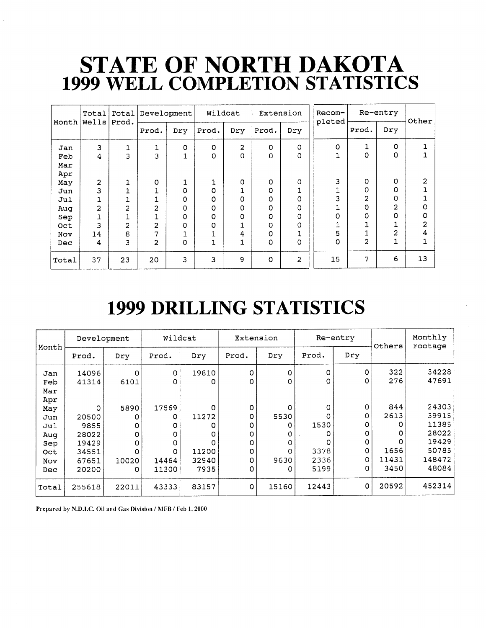### STATE OF NORTH DAKOTA<br>1999 WELL COMPLETION STATISTICS

|            |                | Total Total         | Development    |        | Wildcat |                            |               | Extension      | Recom-<br>pleted | Re-entry            |                | Other  |
|------------|----------------|---------------------|----------------|--------|---------|----------------------------|---------------|----------------|------------------|---------------------|----------------|--------|
| Month      | Wells Prod.    |                     | Prod.          | Dry    | Prod.   | Dry                        | Prod.         | Dry            |                  | Prod.               | Dry            |        |
| Jan<br>Feb | 3<br>4         | 1<br>3              | 1<br>3         | o<br>1 | 0<br>0  | $\overline{a}$<br>$\Omega$ | O<br>O        | 0<br>0         | O                | 1<br>0              | O<br>o         |        |
| Mar        |                |                     |                |        |         |                            |               |                |                  |                     |                |        |
| Apr<br>May | $\overline{2}$ |                     | $\Omega$       | 1      |         | 0                          | $\Omega$      | 0              | 3                | O                   | O<br>o         | 2      |
| Jun<br>Jul | 3              |                     |                | 0<br>0 | O<br>Ω  | 0                          | O<br>$\Omega$ | 1<br>$\Omega$  | 3                | 0<br>$\overline{2}$ | 0              |        |
| Aug<br>Sep | $\overline{2}$ | $\overline{a}$      | 2              | 0<br>0 | 0<br>O  | $\Omega$<br>0              | $\Omega$<br>O | 0<br>0         | O                | $\Omega$<br>O       | 2<br>O         | 0<br>0 |
| Oct<br>Nov | 3<br>14        | $\overline{c}$<br>8 | 2<br>7         | 0<br>┻ | O       | 4                          | Ω<br>0        | 0<br>1         | 5                |                     | $\overline{2}$ | 2<br>4 |
| Dec        | 4              | 3                   | $\overline{2}$ | 0      | 1       |                            | O             | 0              | 0                | 2                   | $\mathbf{1}$   |        |
| Total      | 37             | 23                  | 20             | 3      | 3       | 9                          | $\Omega$      | $\overline{2}$ | 15               | 7                   | 6              | 13     |

#### **1999 DRILLING STATISTICS**

| Month      | Development    |           | Wildcat    |            |        | Extension |           | Re-entry | Others      | Monthly<br>Footage |
|------------|----------------|-----------|------------|------------|--------|-----------|-----------|----------|-------------|--------------------|
|            | Prod.          | Dry       | Prod.      | Dry        | Prod.  | Dry       | Prod.     | Dry      |             |                    |
| Jan<br>Feb | 14096<br>41314 | o<br>6101 | 0<br>0     | 19810<br>ο | 0<br>0 | Ω<br>0    | 0<br>O    | 0<br>0   | 322<br>276  | 34228<br>47691     |
| Mar<br>Apr |                |           |            |            |        |           |           |          |             |                    |
| May<br>Jun | 0<br>20500     | 5890<br>ο | 17569<br>Ω | 0<br>11272 | 0<br>0 | Ω<br>5530 | 0<br>0    | 0<br>0   | 844<br>2613 | 24303<br>39915     |
| Jul        | 9855           | o         |            |            | 0      | O         | 1530      |          |             | 11385              |
| Aug        | 28022          | 0         |            | 0          | o      | o         | 0         | 0        | o           | 28022<br>19429     |
| Sep<br>Oct | 19429<br>34551 | 0<br>0    |            | 11200      | 0<br>0 | O         | O<br>3378 | 0        | 1656        | 50785              |
| Nov        | 67651          | 10020     | 14464      | 32940      | 0      | 9630      | 2336      | 0        | 11431       | 148472             |
| Dec        | 20200          | 0.        | 11300      | 7935       | 0      | 0         | 5199      | 0        | 3450        | 48084              |
| Total      | 255618         | 22011     | 43333      | 83157      | O      | 15160     | 12443     | 0        | 20592       | 452314             |

Prepared by N.D.I.C. Oil and Gas Division / MFB / Feb 1, 2000